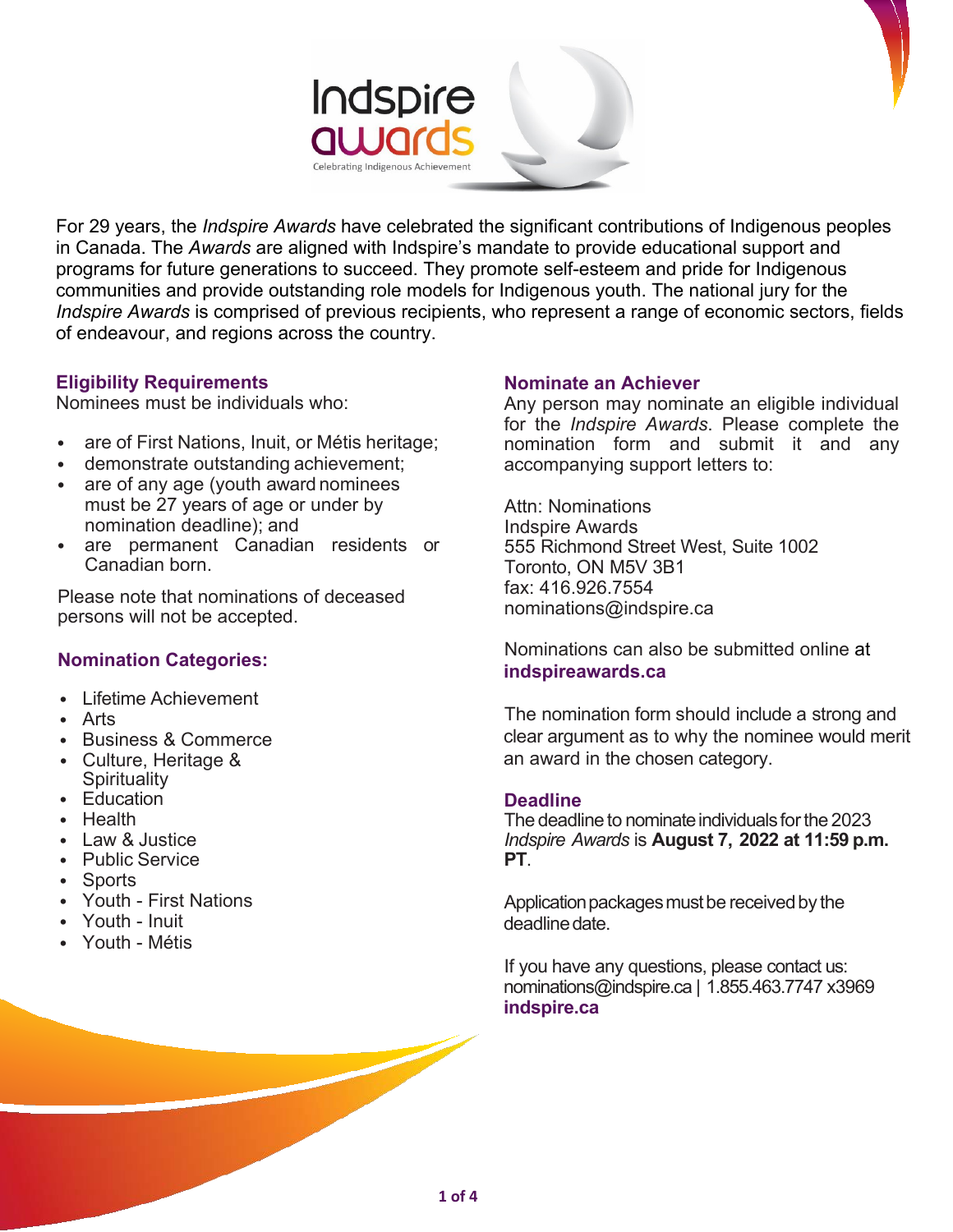

For 29 years, the *Indspire Awards* have celebrated the significant contributions of Indigenous peoples in Canada. The *Awards* are aligned with Indspire's mandate to provide educational support and programs for future generations to succeed. They promote self-esteem and pride for Indigenous communities and provide outstanding role models for Indigenous youth. The national jury for the *Indspire Awards* is comprised of previous recipients, who represent a range of economic sectors, fields of endeavour, and regions across the country.

### **Eligibility Requirements**

Nominees must be individuals who:

- are of First Nations, Inuit, or Métis heritage;
- demonstrate outstanding achievement;
- are of any age (youth award nominees must be 27 years of age or under by nomination deadline); and
- are permanent Canadian residents or Canadian born.

Please note that nominations of deceased persons will not be accepted.

# **Nomination Categories:**

- Lifetime Achievement
- Arts
- Business & Commerce
- Culture, Heritage & **Spirituality**
- Education
- Health
- Law & Justice
- Public Service
- Sports
- Youth First Nations
- Youth Inuit
- Youth Métis

# **Nominate an Achiever**

Any person may nominate an eligible individual for the *Indspire Awards*. Please complete the nomination form and submit it and any accompanying support letters to:

Attn: Nominations Indspire Awards 555 Richmond Street West, Suite 1002 Toronto, ON M5V 3B1 fax: 416.926.7554 [nominations@indspire.ca](mailto:nominations@indspire.ca)

[Nominations can also](mailto:nominations@indspire.ca) be submitted online at **indspireawards.ca**

The nomination form should include a strong and clear argument as to why the nominee would merit an award in the chosen category.

### **Deadline**

The deadline to nominate individuals for the 2023 *Indspire Awards* is **August 7, 2022 at 11:59 p.m. PT**.

Application packages must be received by the deadline date.

If you have any questions, please contact us: [nominations@indspire.ca |](mailto:nominations@indspire.ca) 1.855.463.7747 x3969 **indspire.ca**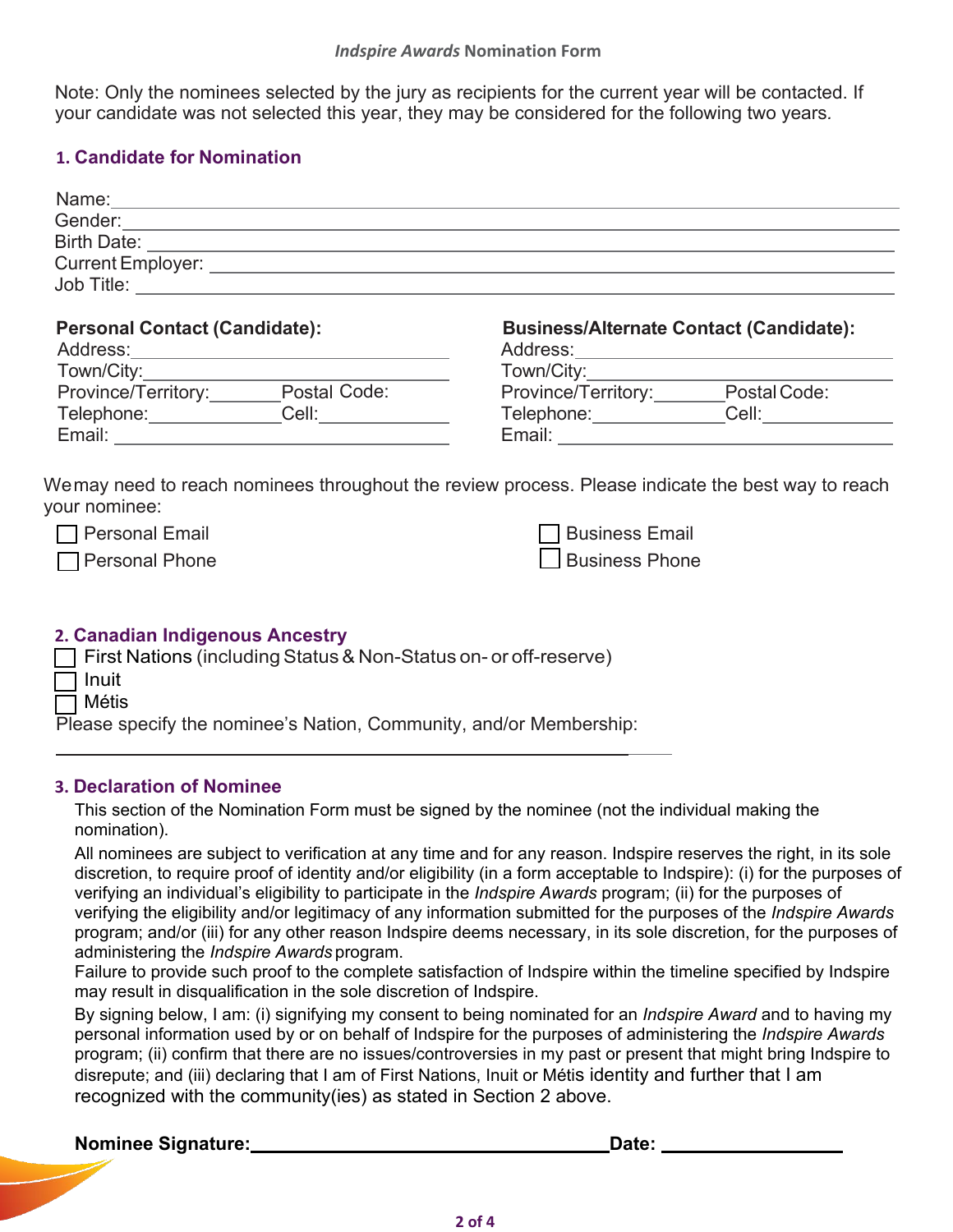Note: Only the nominees selected by the jury as recipients for the current year will be contacted. If your candidate was not selected this year, they may be considered for the following two years*.*

# **1. Candidate for Nomination**

| <b>Business/Alternate Contact (Candidate):</b><br>Town/City:<br>Province/Territory:_______Postal Code: |  |  |  |
|--------------------------------------------------------------------------------------------------------|--|--|--|
| Telephone: Cell: Cell:                                                                                 |  |  |  |
| Wemay need to reach nominees throughout the review process. Please indicate the best way to reach      |  |  |  |
| <b>Business Email</b>                                                                                  |  |  |  |
| <b>Business Phone</b>                                                                                  |  |  |  |
|                                                                                                        |  |  |  |

# **2. Canadian Indigenous Ancestry**  $\Box$  First Nations (including Status & Non-Status on- or off-reserve)

| $\Box$ Inuit                                                       |
|--------------------------------------------------------------------|
| $\Box$ Métis                                                       |
| Please specify the nominee's Nation, Community, and/or Membership: |

### **3. Declaration of Nominee**

This section of the Nomination Form must be signed by the nominee (not the individual making the nomination).

All nominees are subject to verification at any time and for any reason. Indspire reserves the right, in its sole discretion, to require proof of identity and/or eligibility (in a form acceptable to Indspire): (i) for the purposes of verifying an individual's eligibility to participate in the *Indspire Awards* program; (ii) for the purposes of verifying the eligibility and/or legitimacy of any information submitted for the purposes of the *Indspire Awards* program; and/or (iii) for any other reason Indspire deems necessary, in its sole discretion, for the purposes of administering the *Indspire Awards* program.

Failure to provide such proof to the complete satisfaction of Indspire within the timeline specified by Indspire may result in disqualification in the sole discretion of Indspire.

By signing below, I am: (i) signifying my consent to being nominated for an *Indspire Award* and to having my personal information used by or on behalf of Indspire for the purposes of administering the *Indspire Awards* program; (ii) confirm that there are no issues/controversies in my past or present that might bring Indspire to disrepute; and (iii) declaring that I am of First Nations, Inuit or Métis identity and further that I am recognized with the community(ies) as stated in Section 2 above.

| <b>Nominee Signature:</b> | Date: |
|---------------------------|-------|
|                           |       |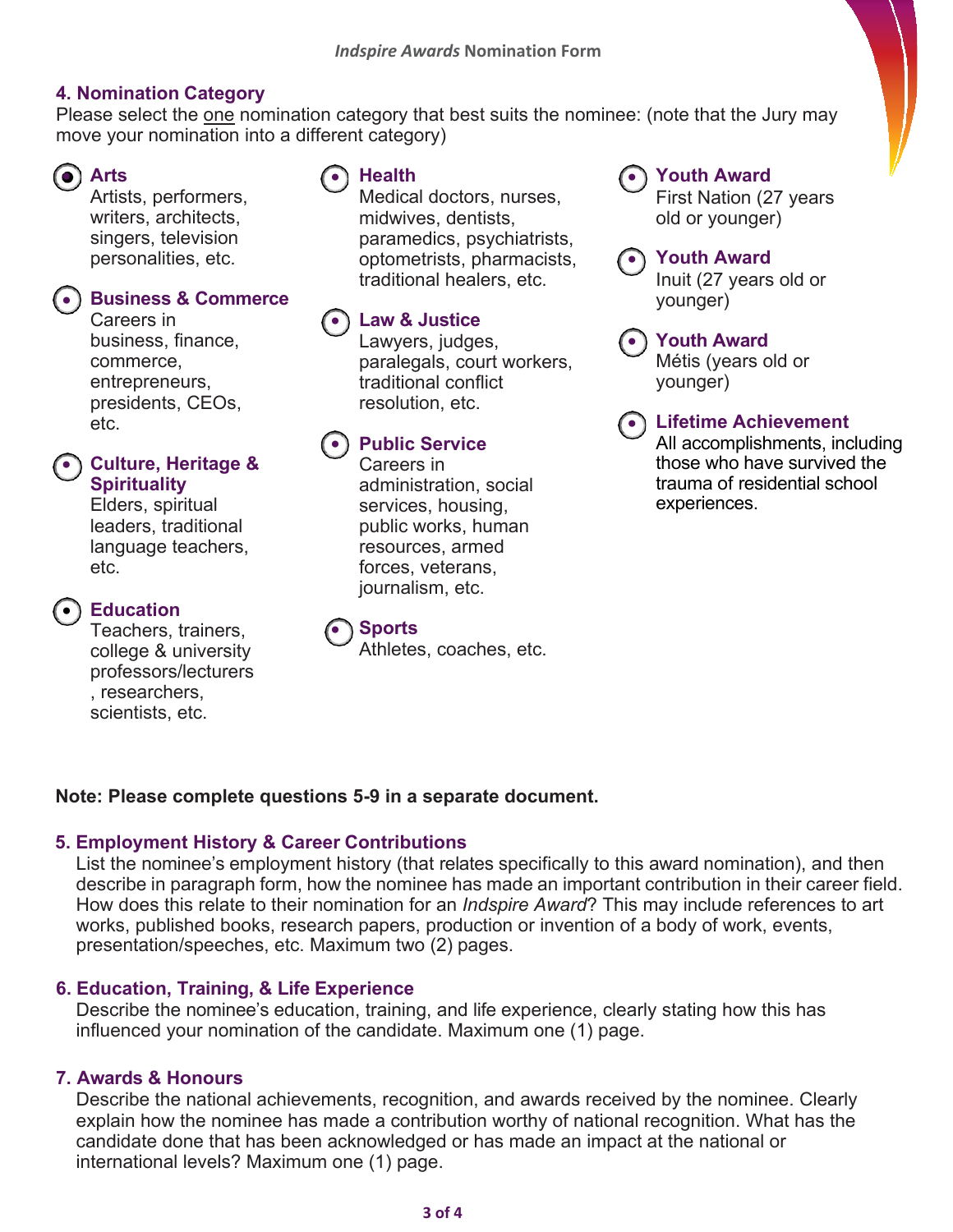# **4. Nomination Category**

Please select the one nomination category that best suits the nominee: (note that the Jury may move your nomination into a different category)



Artists, performers, writers, architects, singers, television personalities, etc.

# **•) Business & Commerce**

Careers in business, finance, commerce, entrepreneurs, presidents, CEOs, etc.

# **Culture, Heritage &**  • **Spirituality**

Elders, spiritual leaders, traditional language teachers, etc.

# •) Education

Teachers, trainers, college & university professors/lecturers , researchers, scientists, etc.

#### **Health**  $\bullet$  Arts  $\bullet$  Health  $\bullet$

Medical doctors, nurses, midwives, dentists, paramedics, psychiatrists, optometrists, pharmacists, traditional healers, etc.

# **Law & Justice** •

Lawyers, judges, paralegals, court workers, traditional conflict resolution, etc.

# •) Public Service

Careers in administration, social services, housing, public works, human resources, armed forces, veterans, journalism, etc.



Athletes, coaches, etc.

# **Youth Award**

First Nation (27 years old or younger)

# **Youth Award** •

Inuit (27 years old or younger)

# **Youth Award**  •

Métis (years old or younger)

# **Lifetime Achievement** •

All accomplishments, including those who have survived the trauma of residential school experiences.

# **Note: Please complete questions 5-9 in a separate document.**

### **5. Employment History & Career Contributions**

List the nominee's employment history (that relates specifically to this award nomination), and then describe in paragraph form, how the nominee has made an important contribution in their career field. How does this relate to their nomination for an *Indspire Award*? This may include references to art works, published books, research papers, production or invention of a body of work, events, presentation/speeches, etc. Maximum two (2) pages.

# **6. Education, Training, & Life Experience**

Describe the nominee's education, training, and life experience, clearly stating how this has influenced your nomination of the candidate. Maximum one (1) page.

# **7. Awards & Honours**

Describe the national achievements, recognition, and awards received by the nominee. Clearly explain how the nominee has made a contribution worthy of national recognition. What has the candidate done that has been acknowledged or has made an impact at the national or international levels? Maximum one (1) page.